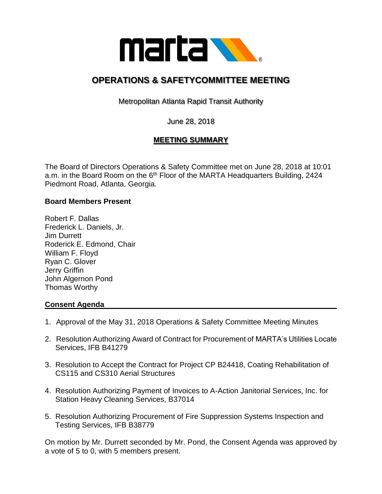

# **OPERATIONS & SAFETYCOMMITTEE MEETING**

Metropolitan Atlanta Rapid Transit Authority

June 28, 2018

## **MEETING SUMMARY**

The Board of Directors Operations & Safety Committee met on June 28, 2018 at 10:01 a.m. in the Board Room on the 6<sup>th</sup> Floor of the MARTA Headquarters Building, 2424 Piedmont Road, Atlanta, Georgia.

#### **Board Members Present**

Robert F. Dallas Frederick L. Daniels, Jr. Jim Durrett Roderick E. Edmond, Chair William F. Floyd Ryan C. Glover Jerry Griffin John Algernon Pond Thomas Worthy

### **Consent Agenda**

- 1. Approval of the May 31, 2018 Operations & Safety Committee Meeting Minutes
- 2. Resolution Authorizing Award of Contract for Procurement of MARTA's Utilities Locate Services, IFB B41279
- 3. Resolution to Accept the Contract for Project CP B24418, Coating Rehabilitation of CS115 and CS310 Aerial Structures
- 4. Resolution Authorizing Payment of Invoices to A-Action Janitorial Services, Inc. for Station Heavy Cleaning Services, B37014
- 5. Resolution Authorizing Procurement of Fire Suppression Systems Inspection and Testing Services, IFB B38779

On motion by Mr. Durrett seconded by Mr. Pond, the Consent Agenda was approved by a vote of 5 to 0, with 5 members present.